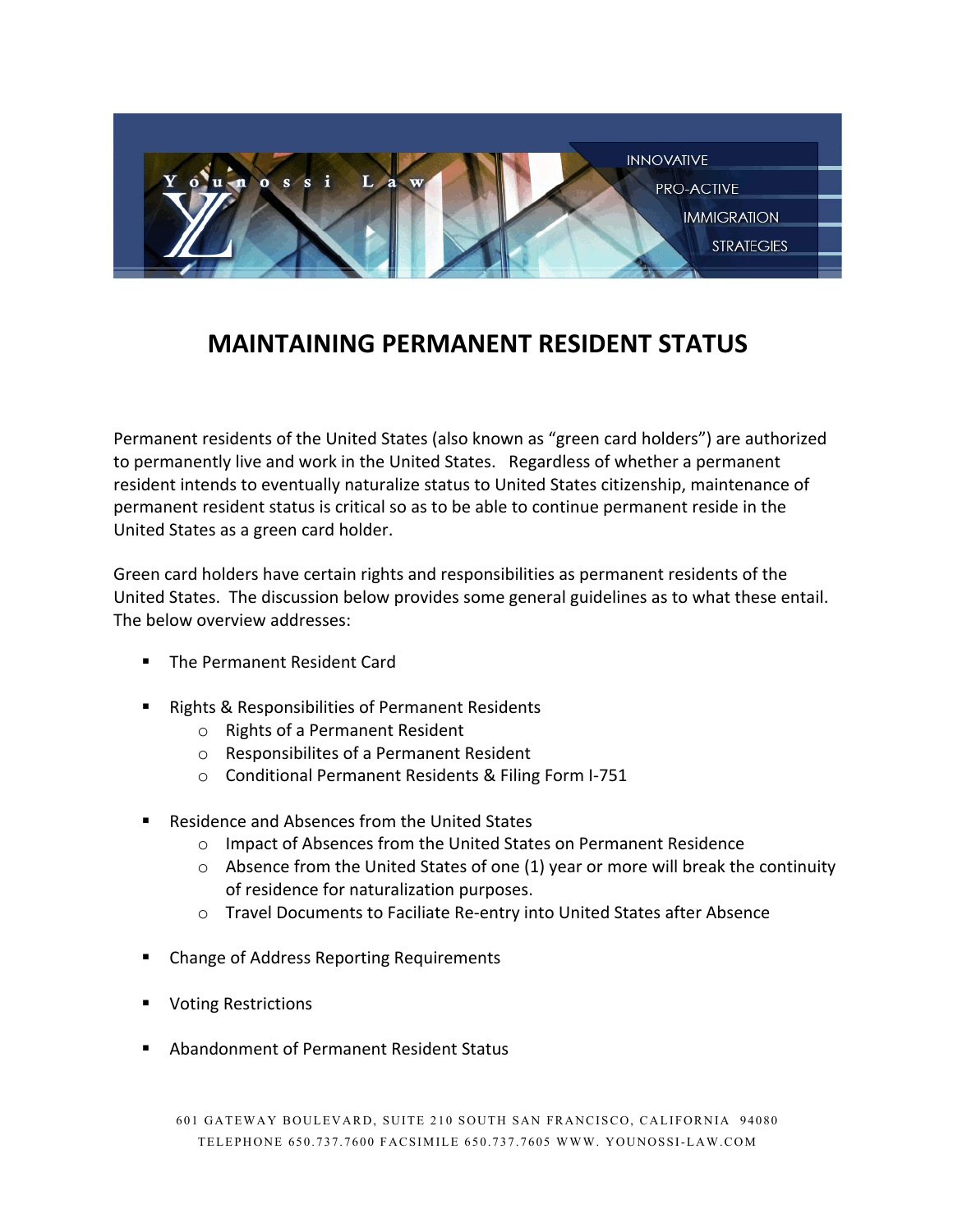

# **MAINTAINING PERMANENT RESIDENT STATUS**

Permanent residents of the United States (also known as "green card holders") are authorized to permanently live and work in the United States. Regardless of whether a permanent resident intends to eventually naturalize status to United States citizenship, maintenance of permanent resident status is critical so as to be able to continue permanent reside in the United States as a green card holder.

Green card holders have certain rights and responsibilities as permanent residents of the United States. The discussion below provides some general guidelines as to what these entail. The below overview addresses:

- The Permanent Resident Card
- Rights & Responsibilities of Permanent Residents
	- o Rights of a Permanent Resident
	- o Responsibilites of a Permanent Resident
	- o Conditional Permanent Residents & Filing Form I-751
- Residence and Absences from the United States
	- o Impact of Absences from the United States on Permanent Residence
	- $\circ$  Absence from the United States of one (1) year or more will break the continuity of residence for naturalization purposes.
	- o Travel Documents to Faciliate Re-entry into United States after Absence
- Change of Address Reporting Requirements
- Voting Restrictions
- Abandonment of Permanent Resident Status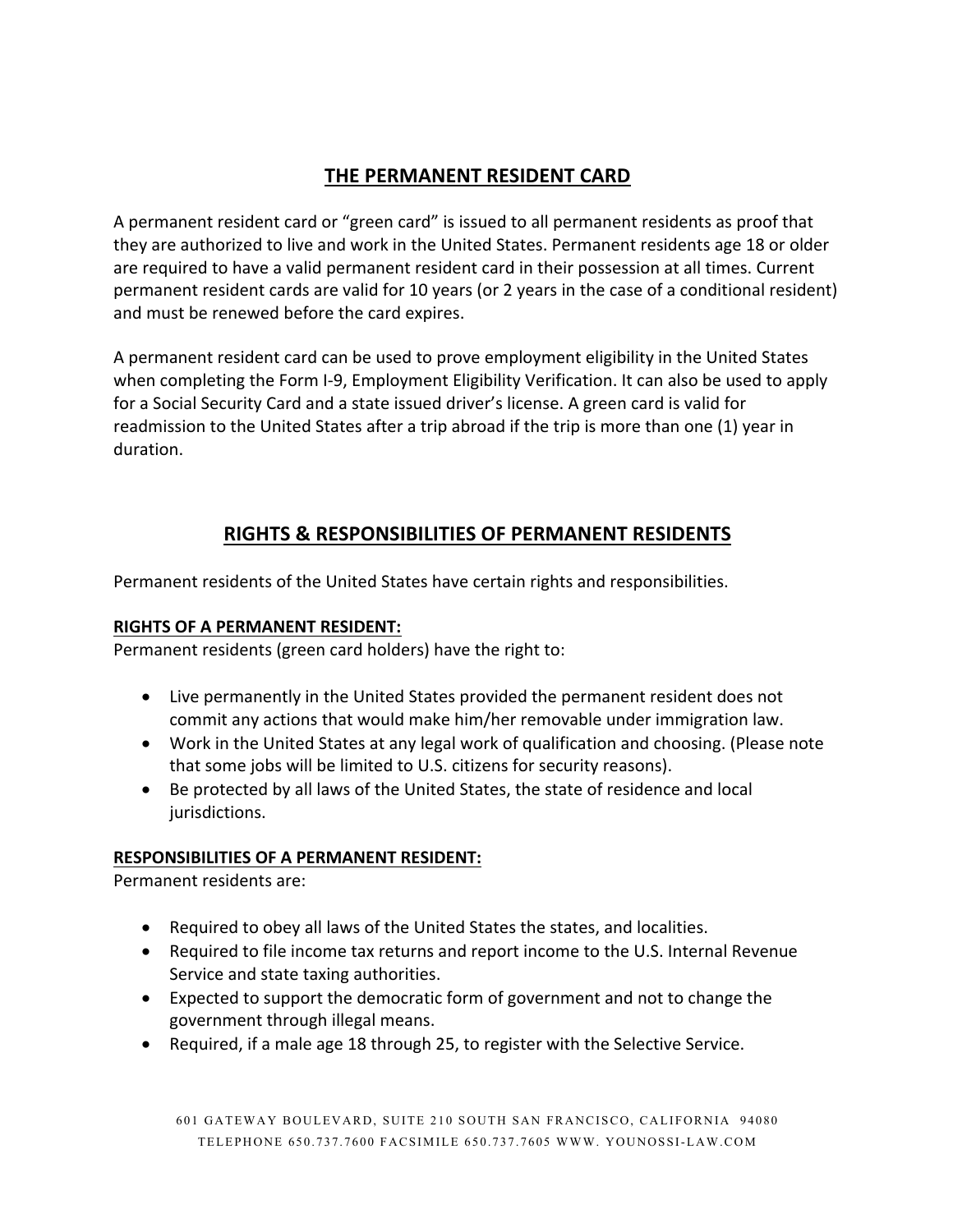# **THE PERMANENT RESIDENT CARD**

A permanent resident card or "green card" is issued to all permanent residents as proof that they are authorized to live and work in the United States. Permanent residents age 18 or older are required to have a valid permanent resident card in their possession at all times. Current permanent resident cards are valid for 10 years (or 2 years in the case of a conditional resident) and must be renewed before the card expires.

A permanent resident card can be used to prove employment eligibility in the United States when completing the Form I-9, Employment Eligibility Verification. It can also be used to apply for a Social Security Card and a state issued driver's license. A green card is valid for readmission to the United States after a trip abroad if the trip is more than one (1) year in duration.

# **RIGHTS & RESPONSIBILITIES OF PERMANENT RESIDENTS**

Permanent residents of the United States have certain rights and responsibilities.

## **RIGHTS OF A PERMANENT RESIDENT:**

Permanent residents (green card holders) have the right to:

- Live permanently in the United States provided the permanent resident does not commit any actions that would make him/her removable under immigration law.
- Work in the United States at any legal work of qualification and choosing. (Please note that some jobs will be limited to U.S. citizens for security reasons).
- Be protected by all laws of the United States, the state of residence and local jurisdictions.

#### **RESPONSIBILITIES OF A PERMANENT RESIDENT:**

Permanent residents are:

- Required to obey all laws of the United States the states, and localities.
- Required to file income tax returns and report income to the U.S. Internal Revenue Service and state taxing authorities.
- Expected to support the democratic form of government and not to change the government through illegal means.
- Required, if a male age 18 through 25, to register with the Selective Service.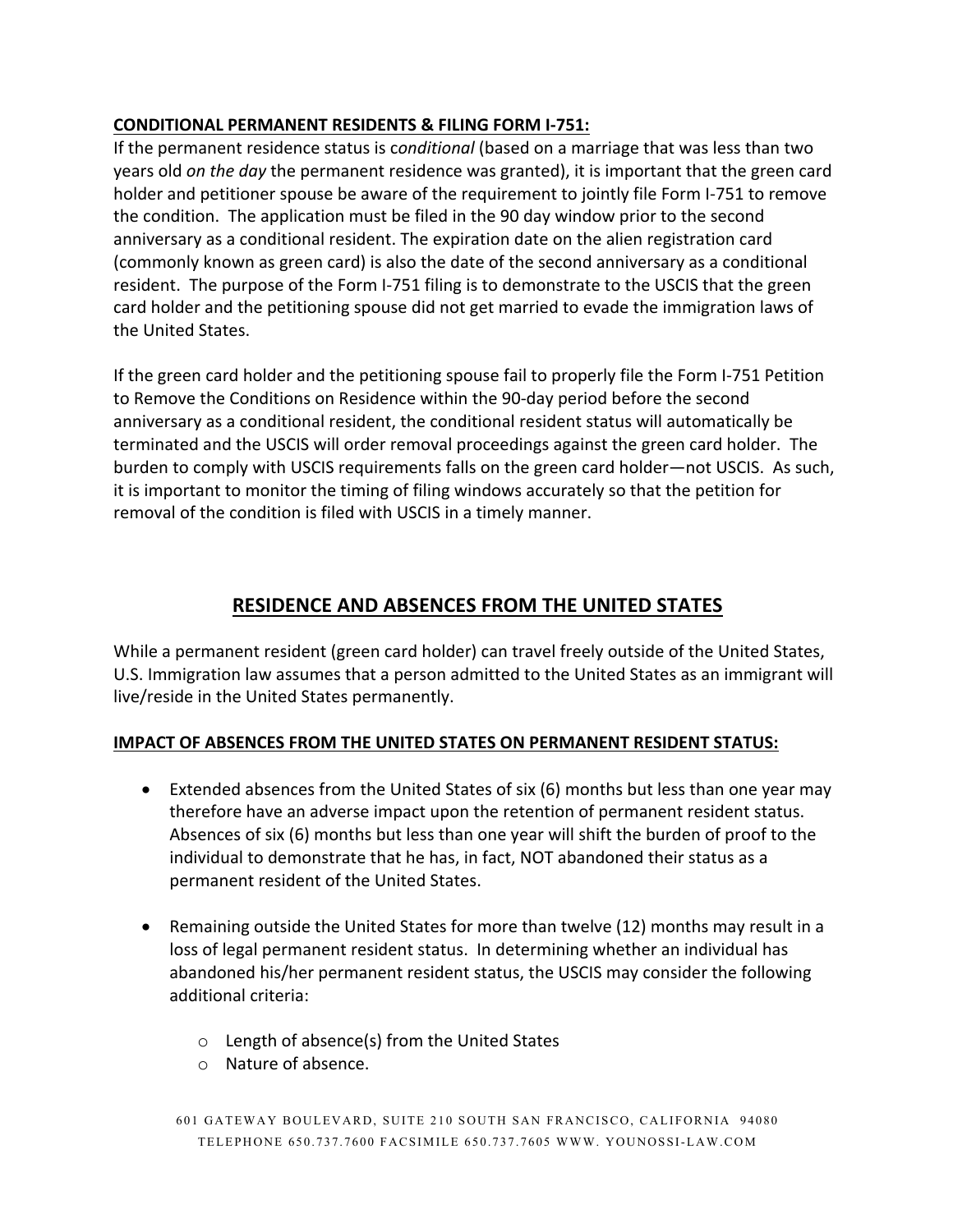#### **CONDITIONAL PERMANENT RESIDENTS & FILING FORM I-751:**

If the permanent residence status is c*onditional* (based on a marriage that was less than two years old *on the day* the permanent residence was granted), it is important that the green card holder and petitioner spouse be aware of the requirement to jointly file Form I-751 to remove the condition. The application must be filed in the 90 day window prior to the second anniversary as a conditional resident. The expiration date on the alien registration card (commonly known as green card) is also the date of the second anniversary as a conditional resident. The purpose of the Form I-751 filing is to demonstrate to the USCIS that the green card holder and the petitioning spouse did not get married to evade the immigration laws of the United States.

If the green card holder and the petitioning spouse fail to properly file the Form I-751 Petition to Remove the Conditions on Residence within the 90-day period before the second anniversary as a conditional resident, the conditional resident status will automatically be terminated and the USCIS will order removal proceedings against the green card holder. The burden to comply with USCIS requirements falls on the green card holder—not USCIS. As such, it is important to monitor the timing of filing windows accurately so that the petition for removal of the condition is filed with USCIS in a timely manner.

# **RESIDENCE AND ABSENCES FROM THE UNITED STATES**

While a permanent resident (green card holder) can travel freely outside of the United States, U.S. Immigration law assumes that a person admitted to the United States as an immigrant will live/reside in the United States permanently.

#### **IMPACT OF ABSENCES FROM THE UNITED STATES ON PERMANENT RESIDENT STATUS:**

- Extended absences from the United States of six (6) months but less than one year may therefore have an adverse impact upon the retention of permanent resident status. Absences of six (6) months but less than one year will shift the burden of proof to the individual to demonstrate that he has, in fact, NOT abandoned their status as a permanent resident of the United States.
- Remaining outside the United States for more than twelve (12) months may result in a loss of legal permanent resident status. In determining whether an individual has abandoned his/her permanent resident status, the USCIS may consider the following additional criteria:
	- o Length of absence(s) from the United States
	- o Nature of absence.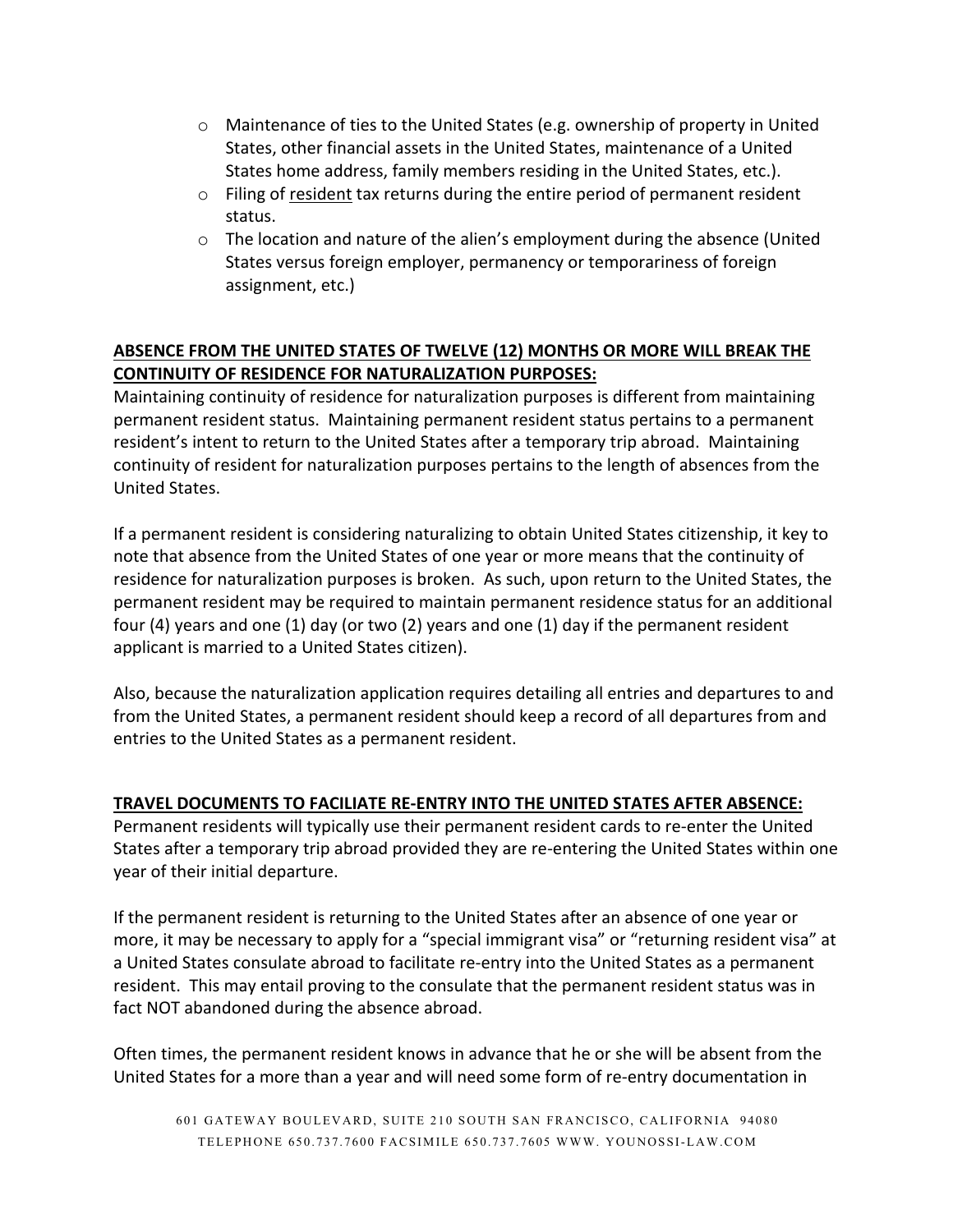- o Maintenance of ties to the United States (e.g. ownership of property in United States, other financial assets in the United States, maintenance of a United States home address, family members residing in the United States, etc.).
- o Filing of resident tax returns during the entire period of permanent resident status.
- o The location and nature of the alien's employment during the absence (United States versus foreign employer, permanency or temporariness of foreign assignment, etc.)

#### **ABSENCE FROM THE UNITED STATES OF TWELVE (12) MONTHS OR MORE WILL BREAK THE CONTINUITY OF RESIDENCE FOR NATURALIZATION PURPOSES:**

Maintaining continuity of residence for naturalization purposes is different from maintaining permanent resident status. Maintaining permanent resident status pertains to a permanent resident's intent to return to the United States after a temporary trip abroad. Maintaining continuity of resident for naturalization purposes pertains to the length of absences from the United States.

If a permanent resident is considering naturalizing to obtain United States citizenship, it key to note that absence from the United States of one year or more means that the continuity of residence for naturalization purposes is broken. As such, upon return to the United States, the permanent resident may be required to maintain permanent residence status for an additional four (4) years and one (1) day (or two (2) years and one (1) day if the permanent resident applicant is married to a United States citizen).

Also, because the naturalization application requires detailing all entries and departures to and from the United States, a permanent resident should keep a record of all departures from and entries to the United States as a permanent resident.

#### **TRAVEL DOCUMENTS TO FACILIATE RE-ENTRY INTO THE UNITED STATES AFTER ABSENCE:**

Permanent residents will typically use their permanent resident cards to re-enter the United States after a temporary trip abroad provided they are re-entering the United States within one year of their initial departure.

If the permanent resident is returning to the United States after an absence of one year or more, it may be necessary to apply for a "special immigrant visa" or "returning resident visa" at a United States consulate abroad to facilitate re-entry into the United States as a permanent resident. This may entail proving to the consulate that the permanent resident status was in fact NOT abandoned during the absence abroad.

Often times, the permanent resident knows in advance that he or she will be absent from the United States for a more than a year and will need some form of re-entry documentation in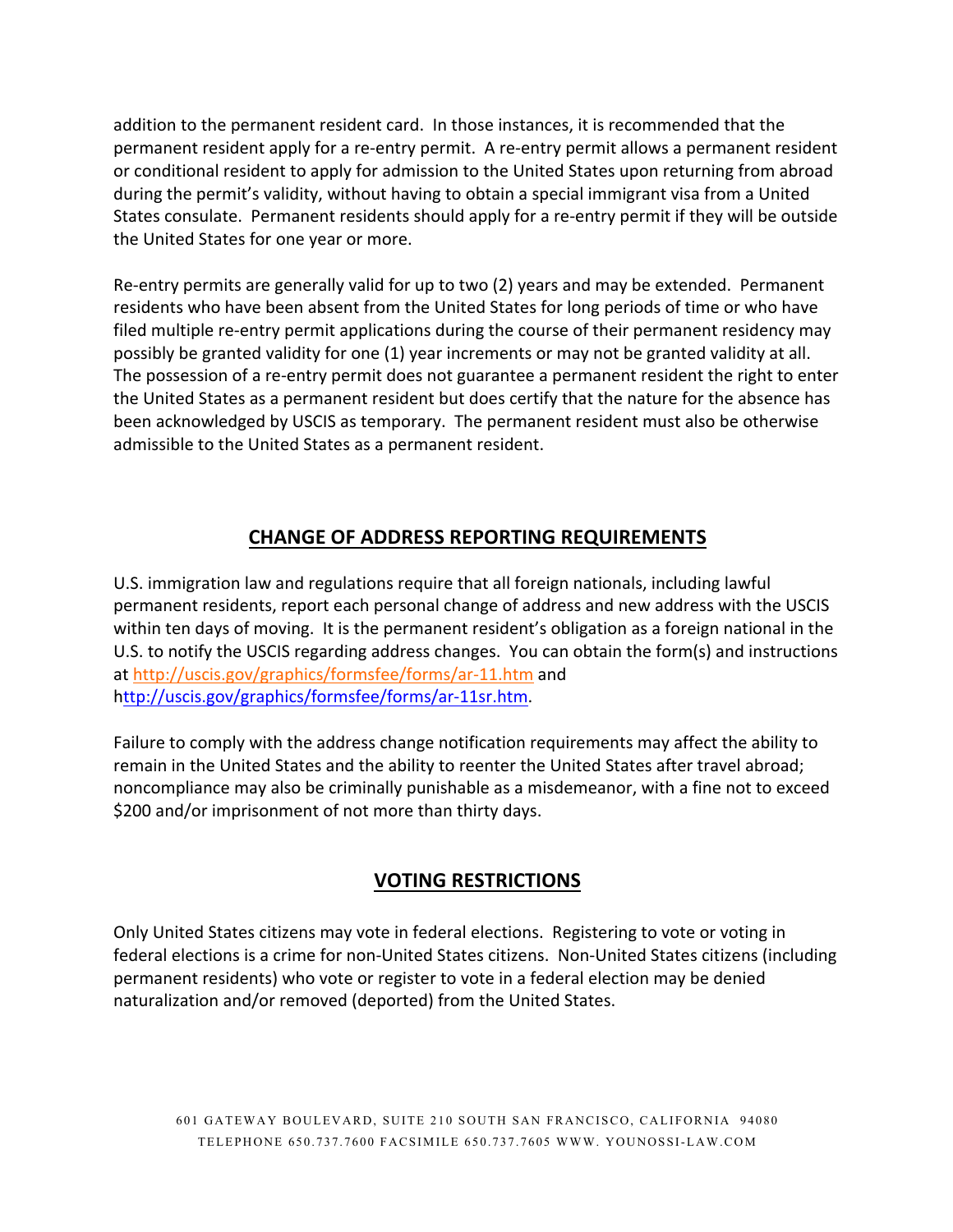addition to the permanent resident card. In those instances, it is recommended that the permanent resident apply for a re-entry permit. A re-entry permit allows a permanent resident or conditional resident to apply for admission to the United States upon returning from abroad during the permit's validity, without having to obtain a special immigrant visa from a United States consulate. Permanent residents should apply for a re-entry permit if they will be outside the United States for one year or more.

Re-entry permits are generally valid for up to two (2) years and may be extended. Permanent residents who have been absent from the United States for long periods of time or who have filed multiple re-entry permit applications during the course of their permanent residency may possibly be granted validity for one (1) year increments or may not be granted validity at all. The possession of a re-entry permit does not guarantee a permanent resident the right to enter the United States as a permanent resident but does certify that the nature for the absence has been acknowledged by USCIS as temporary. The permanent resident must also be otherwise admissible to the United States as a permanent resident.

# **CHANGE OF ADDRESS REPORTING REQUIREMENTS**

U.S. immigration law and regulations require that all foreign nationals, including lawful permanent residents, report each personal change of address and new address with the USCIS within ten days of moving. It is the permanent resident's obligation as a foreign national in the U.S. to notify the USCIS regarding address changes. You can obtain the form(s) and instructions at http://uscis.gov/graphics/formsfee/forms/ar-11.htm and http://uscis.gov/graphics/formsfee/forms/ar-11sr.htm.

Failure to comply with the address change notification requirements may affect the ability to remain in the United States and the ability to reenter the United States after travel abroad; noncompliance may also be criminally punishable as a misdemeanor, with a fine not to exceed \$200 and/or imprisonment of not more than thirty days.

## **VOTING RESTRICTIONS**

Only United States citizens may vote in federal elections. Registering to vote or voting in federal elections is a crime for non-United States citizens. Non-United States citizens (including permanent residents) who vote or register to vote in a federal election may be denied naturalization and/or removed (deported) from the United States.